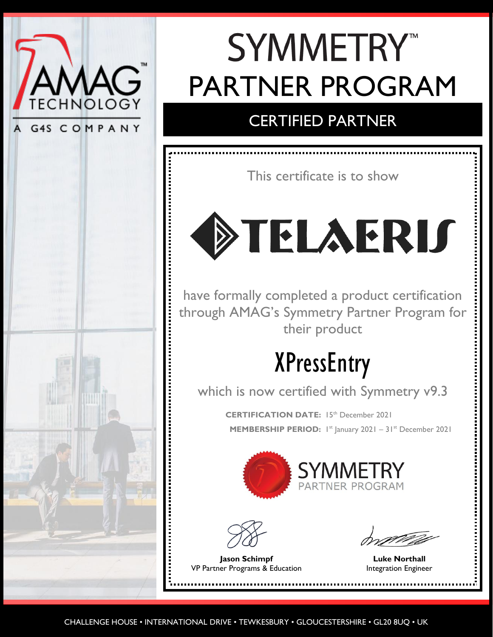

G4S COMPANY



## **SYMMETRY™** PARTNER PROGRAM

### CERTIFIED PARTNER

This certificate is to show

# DIELAERIS

have formally completed a product certification through AMAG's Symmetry Partner Program for their product

## XPressEntry

which is now certified with Symmetry v9.3

**CERTIFICATION DATE:** 15th December 2021 **MEMBERSHIP PERIOD:** 1st January 2021 - 31st December 2021





**Jason Schimpf Luke Northall** VP Partner Programs & Education **Integration Engineer**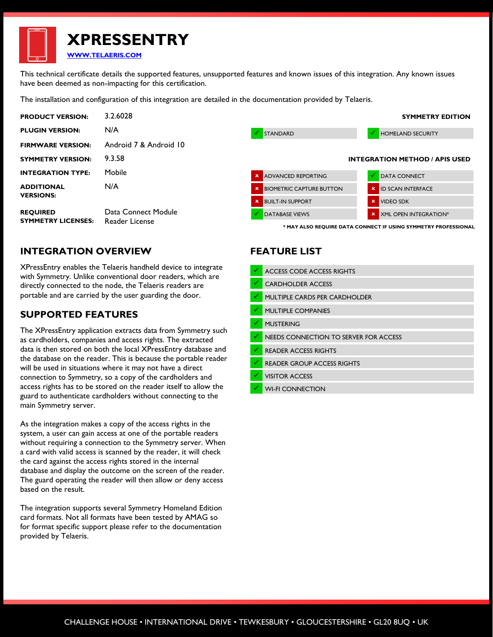**XPRESSENTRY [WWW.TELAERIS.COM](http://www.telaeris.com/)**

This technical certificate details the supported features, unsupported features and known issues of this integration. Any known issues have been deemed as non-impacting for this certification.

The installation and configuration of this integration are detailed in the documentation provided by Telaeris.

| <b>PRODUCT VERSION:</b>                      | 3.2.6028                              |                                                                | <b>SYMMETRY EDITION</b>               |
|----------------------------------------------|---------------------------------------|----------------------------------------------------------------|---------------------------------------|
| <b>PLUGIN VERSION:</b>                       | N/A                                   | STANDARD                                                       | <b>HOMELAND SECURITY</b><br>V         |
| <b>FIRMWARE VERSION:</b>                     | Android 7 & Android 10                |                                                                |                                       |
| <b>SYMMETRY VERSION:</b>                     | 9.3.58                                |                                                                | <b>INTEGRATION METHOD / APIS USED</b> |
| <b>INTEGRATION TYPE:</b>                     | Mobile                                | <b>X</b> ADVANCED REPORTING                                    | <b>DATA CONNECT</b>                   |
| <b>ADDITIONAL</b><br><b>VERSIONS:</b>        | N/A                                   | <b>X</b> BIOMETRIC CAPTURE BUTTON                              | <b>X</b> ID SCAN INTERFACE            |
|                                              |                                       | <b>X</b> BUILT-IN SUPPORT                                      | <b>X</b> VIDEO SDK                    |
| <b>REQUIRED</b><br><b>SYMMETRY LICENSES:</b> | Data Connect Module<br>Reader License | <b>DATABASE VIEWS</b>                                          | <b>X</b> XML OPEN INTEGRATION*        |
|                                              |                                       | * MAY ALSO REQUIRE DATA CONNECT IF USING SYMMETRY PROFESSIONAL |                                       |

#### **INTEGRATION OVERVIEW**

XPressEntry enables the Telaeris handheld device to integrate with Symmetry. Unlike conventional door readers, which are directly connected to the node, the Telaeris readers are portable and are carried by the user guarding the door.

#### **SUPPORTED FEATURES**

The XPressEntry application extracts data from Symmetry such as cardholders, companies and access rights. The extracted data is then stored on both the local XPressEntry database and the database on the reader. This is because the portable reader will be used in situations where it may not have a direct connection to Symmetry, so a copy of the cardholders and access rights has to be stored on the reader itself to allow the guard to authenticate cardholders without connecting to the main Symmetry server.

As the integration makes a copy of the access rights in the system, a user can gain access at one of the portable readers without requiring a connection to the Symmetry server. When a card with valid access is scanned by the reader, it will check the card against the access rights stored in the internal database and display the outcome on the screen of the reader. The guard operating the reader will then allow or deny access based on the result.

The integration supports several Symmetry Homeland Edition card formats. Not all formats have been tested by AMAG so for format specific support please refer to the documentation provided by Telaeris.

#### **FEATURE LIST**

| ✓ | <b>ACCESS CODE ACCESS RIGHTS</b>      |
|---|---------------------------------------|
| √ | <b>CARDHOLDER ACCESS</b>              |
| ✓ | MULTIPLE CARDS PER CARDHOLDER         |
| ✓ | <b>MULTIPLE COMPANIES</b>             |
| ✓ | <b>MUSTERING</b>                      |
| ✓ | NEEDS CONNECTION TO SERVER FOR ACCESS |
| ✓ | <b>READER ACCESS RIGHTS</b>           |
| ✓ | <b>READER GROUP ACCESS RIGHTS</b>     |
| ✓ | <b>VISITOR ACCESS</b>                 |
| ✔ | <b>WI-FI CONNECTION</b>               |